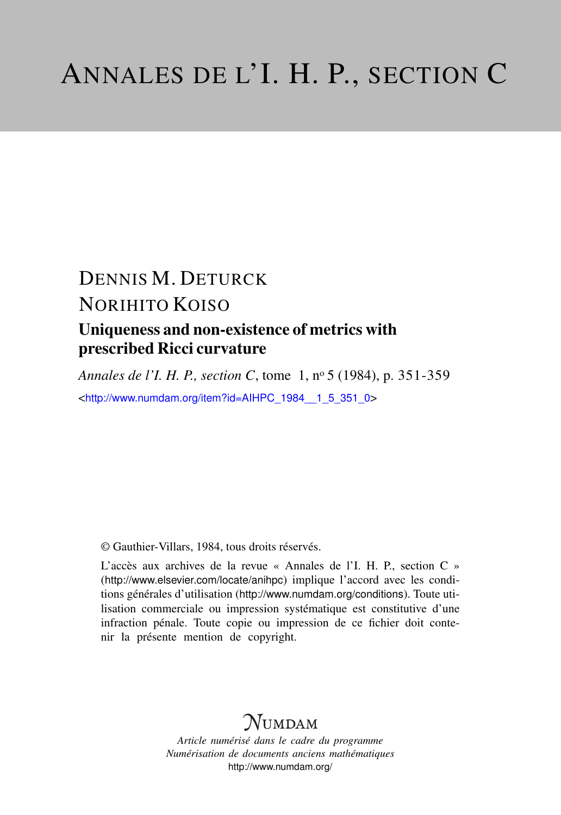# DENNIS M. DETURCK NORIHITO KOISO Uniqueness and non-existence of metrics with prescribed Ricci curvature

*Annales de l'I. H. P., section C*, tome 1, n<sup>o</sup> 5 (1984), p. 351-359 <[http://www.numdam.org/item?id=AIHPC\\_1984\\_\\_1\\_5\\_351\\_0](http://www.numdam.org/item?id=AIHPC_1984__1_5_351_0)>

© Gauthier-Villars, 1984, tous droits réservés.

L'accès aux archives de la revue « Annales de l'I. H. P., section C » (<http://www.elsevier.com/locate/anihpc>) implique l'accord avec les conditions générales d'utilisation (<http://www.numdam.org/conditions>). Toute utilisation commerciale ou impression systématique est constitutive d'une infraction pénale. Toute copie ou impression de ce fichier doit contenir la présente mention de copyright.

## $N$ UMDAM

*Article numérisé dans le cadre du programme Numérisation de documents anciens mathématiques* <http://www.numdam.org/>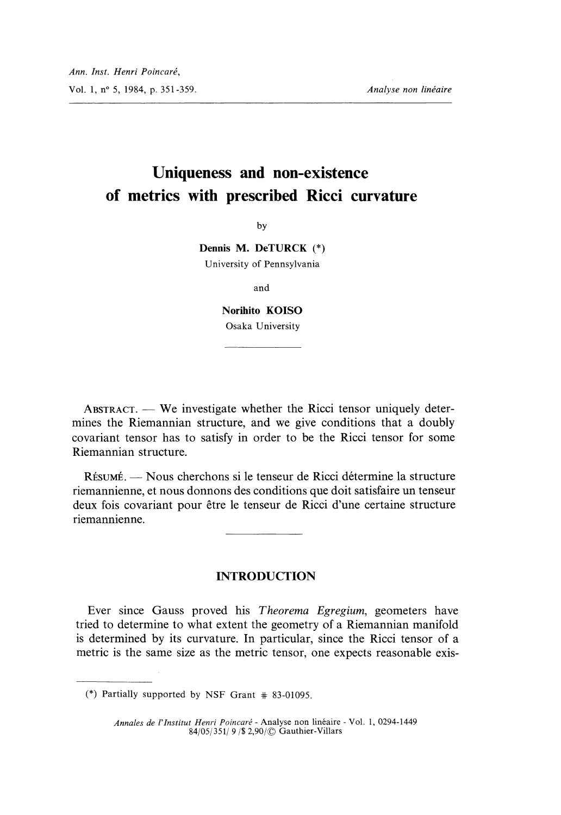### Uniqueness and non-existence of metrics with prescribed Ricci curvature

by

Dennis M. DeTURCK (\*) University of Pennsylvania

and

Norihito KOISO Osaka University

ABSTRACT.  $-$  We investigate whether the Ricci tensor uniquely determines the Riemannian structure, and we give conditions that a doubly covariant tensor has to satisfy in order to be the Ricci tensor for some Riemannian structure.

RESUME. - Nous cherchons si le tenseur de Ricci determine la structure riemannienne, et nous donnons des conditions que doit satisfaire un tenseur deux fois covariant pour être le tenseur de Ricci d'une certaine structure riemannienne.

INTRODUCTION

Ever since Gauss proved his Theorema Egregium, geometers have tried to determine to what extent the geometry of a Riemannian manifold is determined by its curvature. In particular, since the Ricci tensor of a metric is the same size as the metric tensor, one expects reasonable exis-

<sup>(\*)</sup> Partially supported by NSF Grant # 83-01095.

Annales de l'lnstitut Henri Poincaré - Analyse non linéaire - Vol. 1, 0294-1449 84/05/351/ 9 / \$2,90/  $\odot$  Gauthier-Villars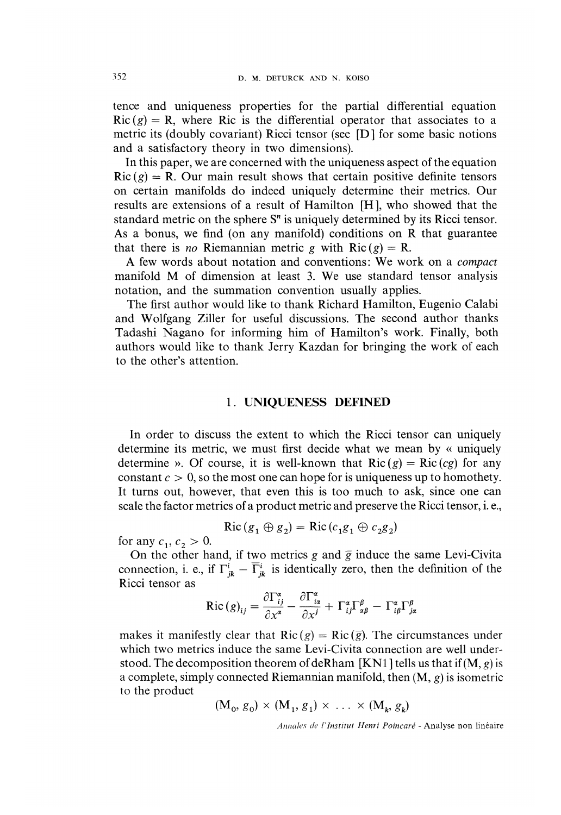tence and uniqueness properties for the partial differential equation  $Ric(g) = R$ , where Ric is the differential operator that associates to a metric its (doubly covariant) Ricci tensor (see [D ] for some basic notions and a satisfactory theory in two dimensions).

In this paper, we are concerned with the uniqueness aspect of the equation  $Ric(g) = R$ . Our main result shows that certain positive definite tensors on certain manifolds do indeed uniquely determine their metrics. Our results are extensions of a result of Hamilton [H ], who showed that the standard metric on the sphere  $S<sup>n</sup>$  is uniquely determined by its Ricci tensor. As a bonus, we find (on any manifold) conditions on R that guarantee that there is no Riemannian metric g with  $Ric(g) = R$ .

A few words about notation and conventions: We work on a *compact* manifold M of dimension at least 3. We use standard tensor analysis notation, and the summation convention usually applies.

The first author would like to thank Richard Hamilton, Eugenio Calabi and Wolfgang Ziller for useful discussions. The second author thanks Tadashi Nagano for informing him of Hamilton's work. Finally, both authors would like to thank Jerry Kazdan for bringing the work of each to the other's attention.

#### 1. UNIQUENESS DEFINED

In order to discuss the extent to which the Ricci tensor can uniquely determine its metric, we must first decide what we mean by « uniquely determine ». Of course, it is well-known that  $Ric(g) = Ric(g)$  for any constant  $c > 0$ , so the most one can hope for is uniqueness up to homothety. It turns out, however, that even this is too much to ask, since one can scale the factor metrics of a product metric and preserve the Ricci tensor, i. e.,

$$
Ric (g_1 \oplus g_2) = Ric (c_1 g_1 \oplus c_2 g_2)
$$

for any  $c_1, c_2 > 0$ .

On the other hand, if two metrics g and  $\overline{g}$  induce the same Levi-Civita connection, i. e., if  $\Gamma_{jk}^i - \overline{\Gamma}_{jk}^i$  is identically zero, then the definition of the Ricci tensor as

$$
\text{Ric}(g)_{ij} = \frac{\partial \Gamma_{ij}^{\alpha}}{\partial x^{\alpha}} - \frac{\partial \Gamma_{i\alpha}^{\alpha}}{\partial x^j} + \Gamma_{ij}^{\alpha} \Gamma_{\alpha\beta}^{\beta} - \Gamma_{i\beta}^{\alpha} \Gamma_{j\alpha}^{\beta}
$$

makes it manifestly clear that  $Ric(g) = Ric(\overline{g})$ . The circumstances under which two metrics induce the same Levi-Civita connection are well understood. The decomposition theorem of deRham [KN1] tells us that if  $(M, g)$  is a complete, simply connected Riemannian manifold, then  $(M, g)$  is isometric to the product

$$
(\mathbf{M}_0, g_0) \times (\mathbf{M}_1, g_1) \times \ldots \times (\mathbf{M}_k, g_k)
$$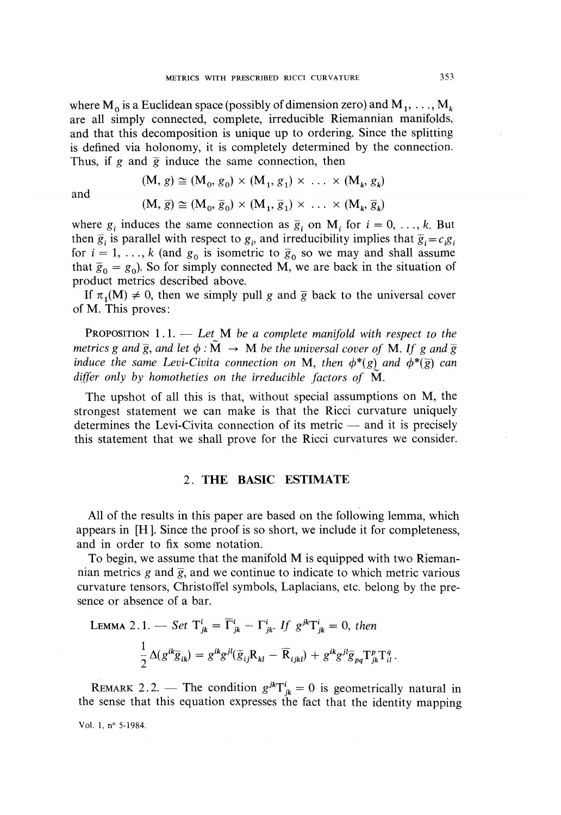where  $M_0$  is a Euclidean space (possibly of dimension zero) and  $M_1, \ldots, M_k$ are all simply connected, complete, irreducible Riemannian manifolds, and that this decomposition is unique up to ordering. Since the splitting is defined via holonomy, it is completely determined by the connection. Thus, if g and  $\bar{g}$  induce the same connection, then

and

$$
(M, g) \cong (M_0, g_0) \times (M_1, g_1) \times \dots \times (M_k, g_k)
$$
  

$$
(M, \overline{g}) \cong (M_0, \overline{g}_0) \times (M_1, \overline{g}_1) \times \dots \times (M_k, \overline{g}_k)
$$

where  $g_i$  induces the same connection as  $\overline{g}_i$  on  $M_i$  for  $i = 0, ..., k$ . But then  $\bar{g}_i$  is parallel with respect to  $g_i$ , and irreducibility implies that  $\bar{g}_i = c_i g_i$ for  $i = 1, ..., k$  (and  $g_0$  is isometric to  $\overline{g}_0$  so we may and shall assume that  $\bar{g}_0 = g_0$ ). So for simply connected M, we are back in the situation of product metrics described above.

If  $\pi_1(M) \neq 0$ , then we simply pull g and  $\overline{g}$  back to the universal cover of M. This proves :

**PROPOSITION** 1.1.  $\qquad$  Let M be a complete manifold with respect to the metrics g and  $\overline{g}$ , and let  $\phi : M \to M$  be the universal cover of M. If g and  $\overline{g}$ induce the same Levi-Civita connection on M, then  $\phi^*(g)$  and  $\phi^*(\bar{g})$  can differ only by homotheties on the irreducible factors of  $\dot{M}$ .

The upshot of all this is that, without special assumptions on M, the strongest statement we can make is that the Ricci curvature uniquely determines the Levi-Civita connection of its metric  $-$  and it is precisely this statement that we shall prove for the Ricci curvatures we consider.

#### 2. THE BASIC ESTIMATE

All of the results in this paper are based on the following lemma, which appears in [H ]. Since the proof is so short, we include it for completeness, and in order to fix some notation.

To begin, we assume that the manifold M is equipped with two Riemannian metrics g and  $\overline{g}$ , and we continue to indicate to which metric various curvature tensors, Christoffel symbols, Laplacians, etc. belong by the presence or absence of a bar.

LEMMA 2.1. — Set 
$$
T_{jk}^i = \overline{\Gamma}_{jk}^i - \Gamma_{jk}^i
$$
. If  $g^{jk}\Gamma_{jk}^i = 0$ , then  
\n
$$
\frac{1}{2}\Delta(g^{ik}\overline{g}_{ik}) = g^{ik}g^{jl}(\overline{g}_{ij}R_{kl} - \overline{R}_{ijkl}) + g^{ik}g^{jl}\overline{g}_{pq}T_{jk}^pT_{il}^q
$$

REMARK 2.2. – The condition  $g^{jk}T^i_{jk} = 0$  is geometrically natural in the sense that this equation expresses the fact that the identity mapping

Vol. 1, n° 5-1984.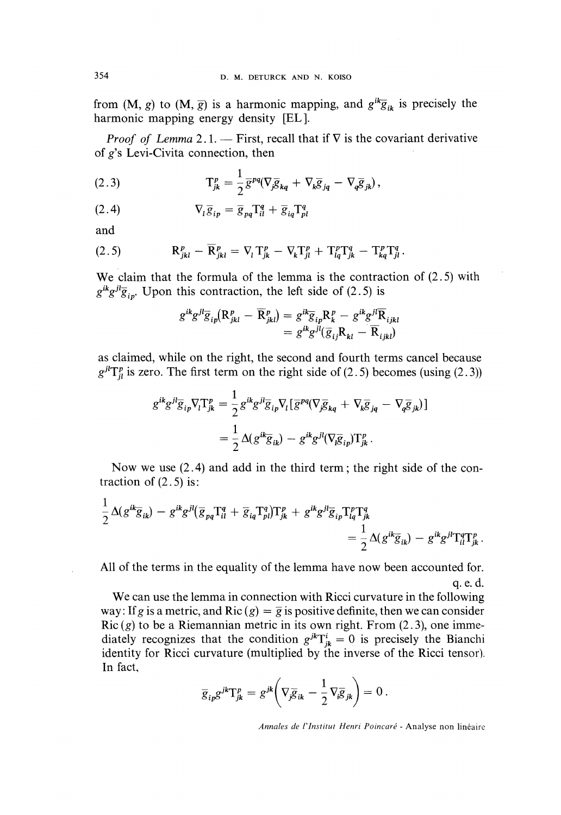from  $(M, g)$  to  $(M, \overline{g})$  is a harmonic mapping, and  $g^{ik}\overline{g}_{ik}$  is precisely the harmonic mapping energy density [EL].

*Proof of Lemma* 2.1. — First, recall that if  $\nabla$  is the covariant derivative of  $g$ 's Levi-Civita connection, then

(2.3) 
$$
\mathbf{T}_{jk}^p = \frac{1}{2} \overline{\mathbf{g}}^{pq} (\nabla_j \overline{\mathbf{g}}_{kq} + \nabla_k \overline{\mathbf{g}}_{jq} - \nabla_q \overline{\mathbf{g}}_{jk}),
$$

$$
\nabla_l \overline{g}_{ip} = \overline{g}_{pq} T_{il}^q + \overline{g}_{iq} T_{pl}^q
$$

and

(2.5) 
$$
\mathbf{R}_{jkl}^p - \overline{\mathbf{R}}_{jkl}^p = \nabla_l \mathbf{T}_{jk}^p - \nabla_k \mathbf{T}_{jl}^p + \mathbf{T}_{lq}^p \mathbf{T}_{jk}^q - \mathbf{T}_{kq}^p \mathbf{T}_{jl}^q.
$$

We claim that the formula of the lemma is the contraction of (2.5) with  $g^{ik}g^{jl}\overline{g}_{in}$ . Upon this contraction, the left side of (2.5) is

$$
g^{ik}g^{jl}\overline{g}_{ip}(\mathbf{R}_{jkl}^p - \mathbf{R}_{jkl}^p) = g^{ik}\overline{g}_{ip}\mathbf{R}_k^p - g^{ik}g^{jl}\mathbf{R}_{ijkl}
$$

$$
= g^{ik}g^{jl}(\overline{g}_{ij}\mathbf{R}_{kl} - \overline{\mathbf{R}}_{ijkl})
$$

as claimed, while on the right, the second and fourth terms cancel because  $g^{jl}T_{il}^{p}$  is zero. The first term on the right side of (2.5) becomes (using (2.3))

$$
g^{ik}g^{jl}\overline{g}_{ip}\nabla_{l}\Gamma_{jk}^{p} = \frac{1}{2}g^{ik}g^{jl}\overline{g}_{ip}\nabla_{l}[\overline{g}^{pq}(\nabla_{j}\overline{g}_{kq} + \nabla_{k}\overline{g}_{jq} - \nabla_{q}\overline{g}_{jk})]
$$
  

$$
= \frac{1}{2}\Delta(g^{ik}\overline{g}_{ik}) - g^{ik}g^{jl}(\nabla_{j}\overline{g}_{ip})\Gamma_{jk}^{p}.
$$

Now we use  $(2.4)$  and add in the third term; the right side of the contraction of  $(2.5)$  is:

$$
\frac{1}{2}\Delta(g^{ik}\overline{g}_{ik})-g^{ik}g^{jl}(\overline{g}_{pq}\Gamma_{il}^q+\overline{g}_{iq}\Gamma_{pl}^q)\Gamma_{jk}^p+g^{ik}g^{jl}\overline{g}_{ip}\Gamma_{lq}^p\Gamma_{jk}^q\\
=\frac{1}{2}\Delta(g^{ik}\overline{g}_{ik})-g^{ik}g^{jl}\Gamma_{il}^q\Gamma_{jk}^p.
$$

All of the terms in the equality of the lemma have now been accounted for. q. e. d.

We can use the lemma in connection with Ricci curvature in the following way: If g is a metric, and Ric (g) =  $\overline{g}$  is positive definite, then we can consider  $Ric(g)$  to be a Riemannian metric in its own right. From (2.3), one immediately recognizes that the condition  $g^{jk}T_{jk}^i = 0$  is precisely the Bianchi identity for Ricci curvature (multiplied by the inverse of the Ricci tensor). In fact,

$$
\overline{g}_{ip}g^{jk}\mathbf{T}_{jk}^{p}=g^{jk}\left(\nabla_{j}\overline{g}_{ik}-\frac{1}{2}\nabla_{i}\overline{g}_{jk}\right)=0.
$$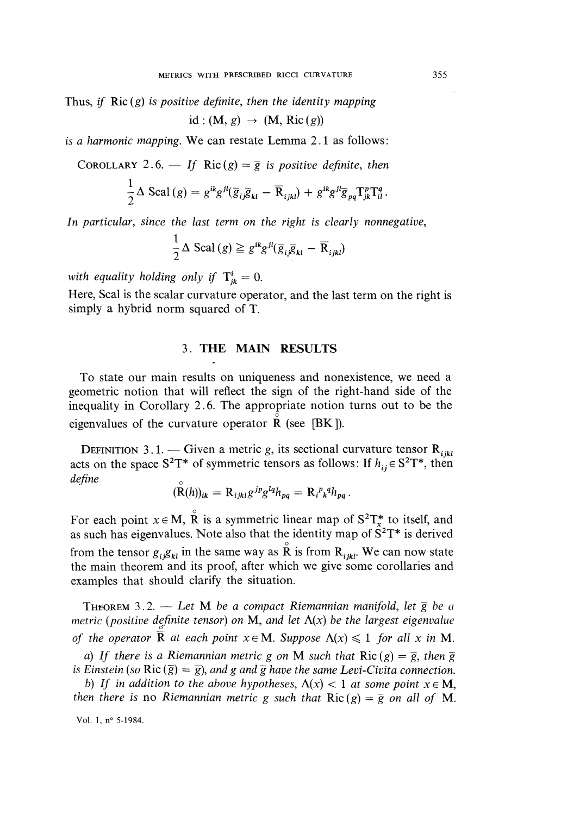Thus, if  $Ric(g)$  is positive definite, then the identity mapping id:  $(M, g) \rightarrow (M, Ric(g))$ 

is a harmonic mapping. We can restate Lemma 2.1 as follows:

COROLLARY 2.6. - If Ric(g) =  $\overline{g}$  is positive definite, then

$$
\frac{1}{2}\Delta \operatorname{Scal}(g) = g^{ik}g^{jl}(\overline{g}_{ij}\overline{g}_{kl} - \overline{\mathbf{R}}_{ijkl}) + g^{ik}g^{jl}\overline{g}_{pq}\mathbf{T}_{jk}^p\mathbf{T}_{il}^q.
$$

In particular, since the last term on the right is clearly nonnegative,

$$
\frac{1}{2} \Delta \operatorname{Scal}(g) \geq g^{ik} g^{jl} (\overline{g}_{i\overline{j}} \overline{g}_{kl} - \overline{R}_{ijkl})
$$

with equality holding only if  $T_{ik}^i = 0$ .

 $\ddot{\phantom{a}}$ 

Here, Scal is the scalar curvature operator, and the last term on the right is simply a hybrid norm squared of T.

### 3. THE MAIN RESULTS

To state our main results on uniqueness and nonexistence, we need a geometric notion that will reflect the sign of the right-hand side of the inequality in Corollary 2.6. The appropriate notion turns out to be the eigenvalues of the curvature operator  $\overline{R}$  (see [BK]).

DEFINITION 3.1. - Given a metric g, its sectional curvature tensor  $\mathbf{R}_{ijkl}$ acts on the space  $S^2T^*$  of symmetric tensors as follows: If  $h_{ij} \in S^2T^*$ , then define

$$
(\mathbf{R}(h))_{ik} = \mathbf{R}_{ijkl}g^{jp}g^{lq}h_{pq} = \mathbf{R}_{i}^{p}g^{q}h_{pq}.
$$

For each point  $x \in M$ ,  $\overset{\circ}{R}$  is a symmetric linear map of  $S^2T^*_{x}$  to itself, and as such has eigenvalues. Note also that the identity map of  $S^2T^*$  is derived from the tensor  $g_i g_{kl}$  in the same way as R is from  $R_{ijkl}$ . We can now state the main theorem and its proof, after which we give some corollaries and examples that should clarify the situation.

**THEOREM** 3.2. - Let M be a compact Riemannian manifold, let  $\overline{g}$  be a metric (positive definite tensor) on M, and let  $\Lambda(x)$  be the largest eigenvalue of the operator  $\overline{R}$  at each point  $x \in M$ . Suppose  $\Lambda(x) \leq 1$  for all x in M.

a) If there is a Riemannian metric g on M such that  $Ric(g) = \overline{g}$ , then  $\overline{g}$ is Einstein (so Ric  $(\overline{g}) = \overline{g}$ ), and g and  $\overline{g}$  have the same Levi-Civita connection.

b) If in addition to the above hypotheses,  $\Lambda(x) < 1$  at some point  $x \in M$ , then there is no Riemannian metric g such that  $Ric(g) = \overline{g}$  on all of M.

Vol. 1, nº 5-1984.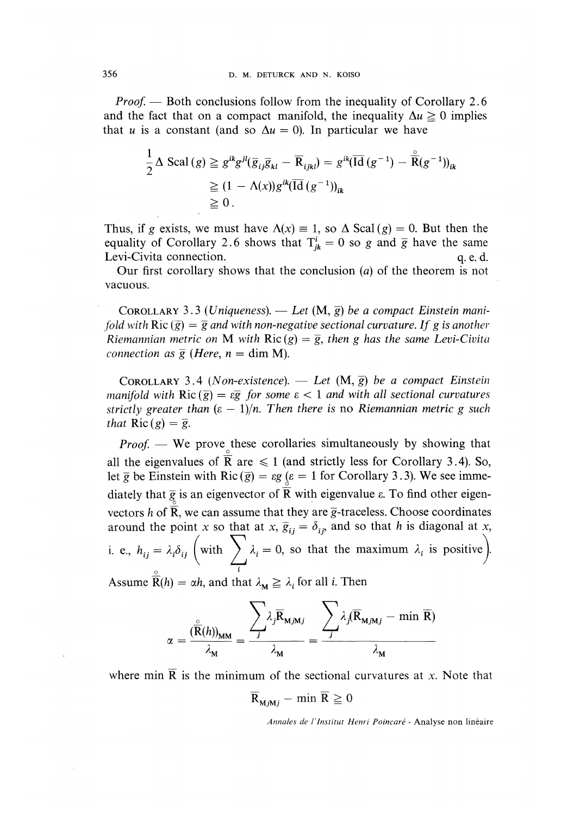*Proof.* — Both conclusions follow from the inequality of Corollary 2.6 and the fact that on a compact manifold, the inequality  $\Delta u \ge 0$  implies that u is a constant (and so  $\Delta u = 0$ ). In particular we have

$$
\frac{1}{2} \Delta \operatorname{Scal}(g) \geq g^{ik} g^{jl} (\overline{g}_{ij} \overline{g}_{kl} - \overline{R}_{ijkl}) = g^{ik} (\overline{\operatorname{Id}}(g^{-1}) - \overline{\widetilde{R}}(g^{-1}))_{ik}
$$
  
\n
$$
\geq (1 - \Lambda(x)) g^{ik} (\overline{\operatorname{Id}}(g^{-1}))_{ik}
$$
  
\n
$$
\geq 0.
$$

Thus, if g exists, we must have  $\Lambda(x) \equiv 1$ , so  $\Delta$  Scal (g) = 0. But then the equality of Corollary 2.6 shows that  $T_{jk} = 0$  so g and  $\overline{g}$  have the same Levi-Civita connection. q.e.d. Levi-Civita connection.

Our first corollary shows that the conclusion (a) of the theorem is not vacuous.

COROLLARY 3.3 (Uniqueness). — Let  $(M, \overline{g})$  be a compact Einstein manifold with  $Ric(\overline{g}) = \overline{g}$  and with non-negative sectional curvature. If g is another Riemannian metric on M with  $Ric(g) = \overline{g}$ , then g has the same Levi-Civita connection as  $\overline{g}$  (Here,  $n = \dim M$ ).

COROLLARY 3.4 (Non-existence). - Let  $(M, \overline{g})$  be a compact Einstein manifold with  $Ric(\overline{g}) = \varepsilon \overline{g}$  for some  $\varepsilon < 1$  and with all sectional curvatures strictly greater than  $(\epsilon - 1)/n$ . Then there is no Riemannian metric g such that  $\text{Ric}(g) = \overline{g}$ .

 $Proof.$  We prove these corollaries simultaneously by showing that all the eigenvalues of  $\overline{R}$  are  $\leq 1$  (and strictly less for Corollary 3.4). So, let  $\overline{g}$  be Einstein with Ric ( $\overline{g}$ ) =  $\epsilon g$  ( $\epsilon$  = 1 for Corollary 3.3). We see immediately that  $\overline{g}$  is an eigenvector of  $\overline{R}$  with eigenvalue  $\varepsilon$ . To find other eigenvectors h of  $\overline{R}$ , we can assume that they are  $\overline{g}$ -traceless. Choose coordinates around the point x so that at x,  $\overline{g}_{ii} = \delta_{ii}$ , and so that h is diagonal at x, i. e.,  $h_{ij} = \lambda_i \delta_{ij}$  (with  $\sum \lambda_i = 0$ , so that the maximum  $\lambda_i$  is positive).

Assume  $\overline{R}(h) = \alpha h$ , and that  $\lambda_M \geq \lambda_i$  for all i. Then

$$
\alpha = \frac{\sum_{\mathbf{\bar{R}}(h)_{\mathbf{MM}}}}{\lambda_{\mathbf{M}}} = \frac{\sum_{j} \lambda_{j} \overline{\mathbf{R}}_{\mathbf{M},\mathbf{M}j}}{\lambda_{\mathbf{M}}} = \frac{\sum_{j} \lambda_{j} (\overline{\mathbf{R}}_{\mathbf{M}j\mathbf{M}j} - \min \overline{\mathbf{R}})}{\lambda_{\mathbf{M}}}
$$

where min  $\overline{R}$  is the minimum of the sectional curvatures at x. Note that

$$
\mathbf{R}_{\mathbf{M}j\mathbf{M}j} - \min \mathbf{R} \ge 0
$$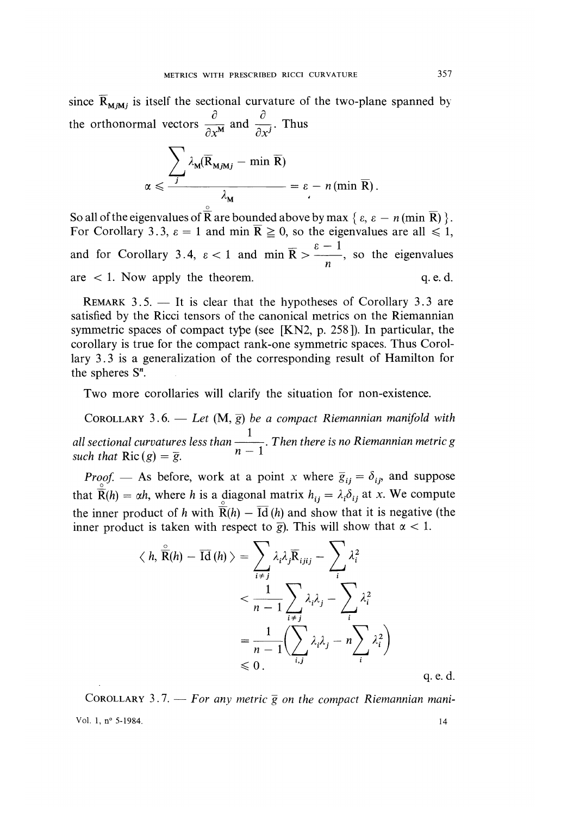since  $\overline{R}_{M, M}$  is itself the sectional curvature of the two-plane spanned by the orthonormal vectors  $\frac{\partial}{\partial x^M}$  and  $\frac{\partial}{\partial x^j}$ . Thus

$$
\alpha \leqslant \frac{\sum_{j} \lambda_{M}(\overline{R}_{M,jM,j} - \min \overline{R})}{\lambda_{M}} = \varepsilon - n(\min \overline{R}).
$$

So all of the eigenvalues of  $\overline{R}$  are bounded above by max  $\{\varepsilon, \varepsilon - n \text{ (min } \overline{R})\}.$ For Corollary 3.3,  $\varepsilon = 1$  and min  $\overline{R} \ge 0$ , so the eigenvalues are all  $\le 1$ , and for Corollary 3.4,  $\epsilon < 1$  and min  $\bar{R} > \frac{\epsilon - 1}{n}$ , so the eigenvalues are < 1. Now apply the theorem. q.e.d. are  $\lt$  1. Now apply the theorem.

REMARK  $3.5.$  - It is clear that the hypotheses of Corollary 3.3 are satisfied by the Ricci tensors of the canonical metrics on the Riemannian symmetric spaces of compact type (see [KN2, p. 258 ]). In particular, the corollary is true for the compact rank-one symmetric spaces. Thus Corollary 3.3 is a generalization of the corresponding result of Hamilton for the spheres S".

Two more corollaries will clarify the situation for non-existence.

COROLLARY 3.6. — Let  $(M, \overline{g})$  be a compact Riemannian manifold with all sectional curvatures less than  $\frac{1}{n-1}$ . Then there is no Riemannian metric g<br>such that  $\text{Pic}(S) = \frac{1}{n-1}$ . such that  $Ric(g) = \overline{g}$ .

*Proof.* – As before, work at a point x where  $\overline{g}_{ij} = \delta_{ij}$ , and suppose that  $\overline{R}(h) = \alpha h$ , where h is a diagonal matrix  $h_{ij} = \lambda_i \delta_{ij}$  at x. We compute the inner product of h with  $\overline{R}(h) - \overline{Id}$  (h) and show that it is negative (the inner product is taken with respect to  $\bar{g}$ ). This will show that  $\alpha < 1$ .

$$
\langle h, \overrightarrow{\mathbf{R}}(h) - \overrightarrow{\mathbf{Id}}(h) \rangle = \sum_{i \neq j} \lambda_i \lambda_j \overrightarrow{\mathbf{R}}_{ijij} - \sum_i \lambda_i^2
$$
  

$$
< \frac{1}{n-1} \sum_{i \neq j} \lambda_i \lambda_j - \sum_i \lambda_i^2
$$
  

$$
= \frac{1}{n-1} \Biggl( \sum_{i,j} \lambda_i \lambda_j - n \sum_i \lambda_i^2 \Biggr)
$$
  

$$
\leq 0.
$$
q.e.d.

COROLLARY 3.7. - For any metric  $\overline{g}$  on the compact Riemannian mani-Vol. 1, nº 5-1984. 14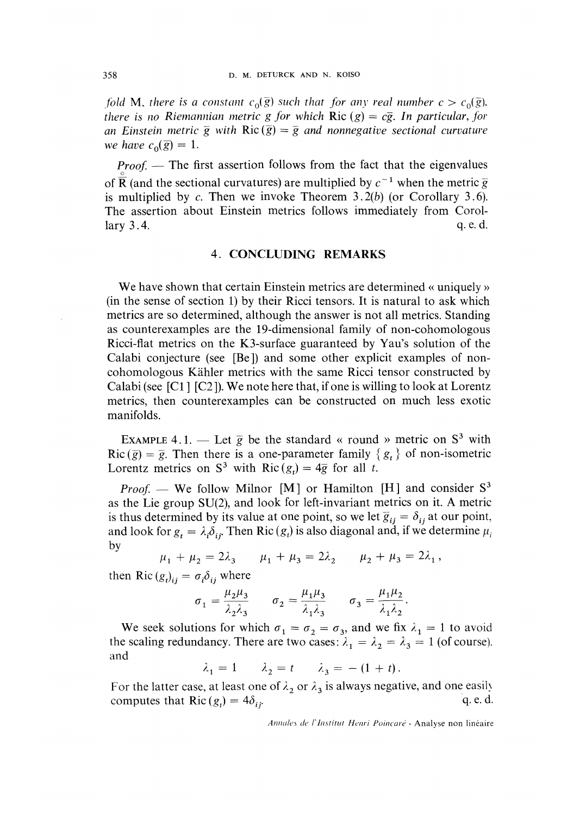fold M, there is a constant  $c_0(\bar{g})$  such that for any real number  $c > c_0(\bar{g})$ . there is no Riemannian metric g for which Ric (g) =  $c\overline{g}$ . In particular, for an Einstein metric  $\overline{g}$  with Ric ( $\overline{g}$ ) =  $\overline{g}$  and nonnegative sectional curvature we have  $c_0(\overline{g}) = 1$ .

 $Proof.$  The first assertion follows from the fact that the eigenvalues of  $\overline{R}$  (and the sectional curvatures) are multiplied by  $c^{-1}$  when the metric  $\overline{g}$ is multiplied by  $c$ . Then we invoke Theorem 3.2(b) (or Corollary 3.6). The assertion about Einstein metrics follows immediately from Corol-<br>lary 3.4. q.e.d. lary  $3.4$ .  $\qquad \qquad$  q. e. d.

#### 4. CONCLUDING REMARKS

We have shown that certain Einstein metrics are determined « uniquely » (in the sense of section 1) by their Ricci tensors. It is natural to ask which metrics are so determined, although the answer is not all metrics. Standing as counterexamples are the 19-dimensional family of non-cohomologous Ricci-flat metrics on the K3-surface guaranteed by Yau's solution of the Calabi conjecture (see [Be]) and some other explicit examples of noncohomologous Kahler metrics with the same Ricci tensor constructed by Calabi (see [Cl] ] [C2 ]). We note here that, if one is willing to look at Lorentz metrics, then counterexamples can be constructed on much less exotic manifolds.

EXAMPLE 4.1. — Let  $\overline{g}$  be the standard « round » metric on  $S^3$  with  $Ric (\bar{g}) = \bar{g}$ . Then there is a one-parameter family  $\{g_t\}$  of non-isometric Lorentz metrics on  $S^3$  with Ric  $(g_t) = 4\overline{g}$  for all t.

*Proof.* — We follow Milnor [M] or Hamilton [H] and consider  $S<sup>3</sup>$ as the Lie group SU(2), and look for left-invariant metrics on it. A metric is thus determined by its value at one point, so we let  $\overline{g}_{ij} = \delta_{ij}$  at our point, and look for  $g_t = \lambda_i \delta_{ij}$ . Then Ric  $(g_t)$  is also diagonal and, if we determine  $\mu_i$ by

$$
\mu_1 + \mu_2 = 2\lambda_3
$$
\n $\mu_1 + \mu_3 = 2\lambda_2$ \n $\mu_2 + \mu_3 = 2\lambda_1$ 

then Ric  $(g_t)_{ii} = \sigma_i \delta_{ii}$  where

$$
\sigma_1 = \frac{\mu_2 \mu_3}{\lambda_2 \lambda_3} \qquad \sigma_2 = \frac{\mu_1 \mu_3}{\lambda_1 \lambda_3} \qquad \sigma_3 = \frac{\mu_1 \mu_2}{\lambda_1 \lambda_2}.
$$

We seek solutions for which  $\sigma_1 = \sigma_2 = \sigma_3$ , and we fix  $\lambda_1 = 1$  to avoid the scaling redundancy. There are two cases:  $\lambda_1 = \lambda_2 = \lambda_3 = 1$  (of course). and

 $\lambda_1 = 1$   $\lambda_2 = t$   $\lambda_3 = -(1 + t)$ .

For the latter case, at least one of  $\lambda_2$  or  $\lambda_3$  is always negative, and one easily computes that Ric $(g) = 4\delta_4$ . computes that Ric  $(g_t) = 4\delta_{ij}$ .